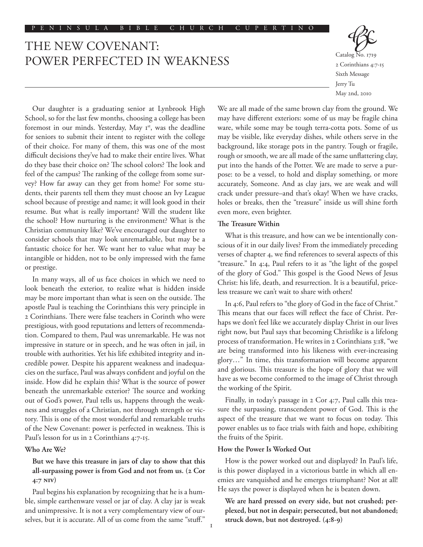# THE NEW COVENANT: POWER PERFECTED IN WEAKNESS



Our daughter is a graduating senior at Lynbrook High School, so for the last few months, choosing a college has been foremost in our minds. Yesterday, May 1<sup>st</sup>, was the deadline for seniors to submit their intent to register with the college of their choice. For many of them, this was one of the most difficult decisions they've had to make their entire lives. What do they base their choice on? The school colors? The look and feel of the campus? The ranking of the college from some survey? How far away can they get from home? For some students, their parents tell them they must choose an Ivy League school because of prestige and name; it will look good in their resume. But what is really important? Will the student like the school? How nurturing is the environment? What is the Christian community like? We've encouraged our daughter to consider schools that may look unremarkable, but may be a fantastic choice for her. We want her to value what may be intangible or hidden, not to be only impressed with the fame or prestige.

In many ways, all of us face choices in which we need to look beneath the exterior, to realize what is hidden inside may be more important than what is seen on the outside. The apostle Paul is teaching the Corinthians this very principle in 2 Corinthians. There were false teachers in Corinth who were prestigious, with good reputations and letters of recommendation. Compared to them, Paul was unremarkable. He was not impressive in stature or in speech, and he was often in jail, in trouble with authorities. Yet his life exhibited integrity and incredible power. Despite his apparent weakness and inadequacies on the surface, Paul was always confident and joyful on the inside. How did he explain this? What is the source of power beneath the unremarkable exterior? The source and working out of God's power, Paul tells us, happens through the weakness and struggles of a Christian, not through strength or victory. This is one of the most wonderful and remarkable truths of the New Covenant: power is perfected in weakness. This is Paul's lesson for us in 2 Corinthians 4:7-15.

## **Who Are We?**

## **But we have this treasure in jars of clay to show that this all-surpassing power is from God and not from us. (2 Cor 4:7 NIV)**

Paul begins his explanation by recognizing that he is a humble, simple earthenware vessel or jar of clay. A clay jar is weak and unimpressive. It is not a very complementary view of ourselves, but it is accurate. All of us come from the same "stuff." We are all made of the same brown clay from the ground. We may have different exteriors: some of us may be fragile china ware, while some may be tough terra-cotta pots. Some of us may be visible, like everyday dishes, while others serve in the background, like storage pots in the pantry. Tough or fragile, rough or smooth, we are all made of the same unflattering clay, put into the hands of the Potter. We are made to serve a purpose: to be a vessel, to hold and display something, or more accurately, Someone. And as clay jars, we are weak and will crack under pressure–and that's okay! When we have cracks, holes or breaks, then the "treasure" inside us will shine forth even more, even brighter.

#### **The Treasure Within**

What is this treasure, and how can we be intentionally conscious of it in our daily lives? From the immediately preceding verses of chapter 4, we find references to several aspects of this "treasure." In 4:4, Paul refers to it as "the light of the gospel of the glory of God." This gospel is the Good News of Jesus Christ: his life, death, and resurrection. It is a beautiful, priceless treasure we can't wait to share with others!

In 4:6, Paul refers to "the glory of God in the face of Christ." This means that our faces will reflect the face of Christ. Perhaps we don't feel like we accurately display Christ in our lives right now, but Paul says that becoming Christlike is a lifelong process of transformation. He writes in 2 Corinthians 3:18, "we are being transformed into his likeness with ever-increasing glory…" In time, this transformation will become apparent and glorious. This treasure is the hope of glory that we will have as we become conformed to the image of Christ through the working of the Spirit.

Finally, in today's passage in 2 Cor 4:7, Paul calls this treasure the surpassing, transcendent power of God. This is the aspect of the treasure that we want to focus on today. This power enables us to face trials with faith and hope, exhibiting the fruits of the Spirit.

## **How the Power Is Worked Out**

How is the power worked out and displayed? In Paul's life, is this power displayed in a victorious battle in which all enemies are vanquished and he emerges triumphant? Not at all! He says the power is displayed when he is beaten down.

**We are hard pressed on every side, but not crushed; perplexed, but not in despair; persecuted, but not abandoned; struck down, but not destroyed. (4:8-9)**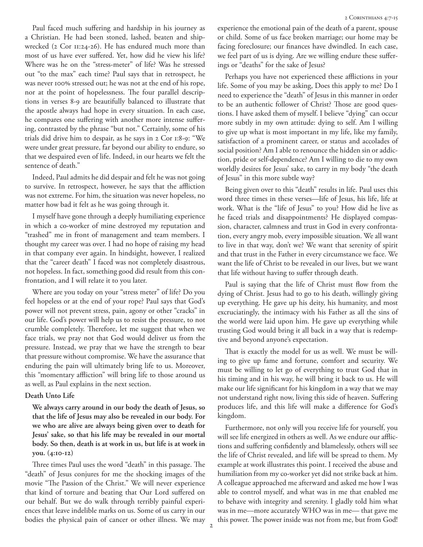Paul faced much suffering and hardship in his journey as a Christian. He had been stoned, lashed, beaten and shipwrecked (2 Cor 11:24-26). He has endured much more than most of us have ever suffered. Yet, how did he view his life? Where was he on the "stress-meter" of life? Was he stressed out "to the max" each time? Paul says that in retrospect, he was never 100% stressed out; he was not at the end of his rope, nor at the point of hopelessness. The four parallel descriptions in verses 8-9 are beautifully balanced to illustrate that the apostle always had hope in every situation. In each case, he compares one suffering with another more intense suffering, contrasted by the phrase "but not." Certainly, some of his trials did drive him to despair, as he says in 2 Cor 1:8-9: "We were under great pressure, far beyond our ability to endure, so that we despaired even of life. Indeed, in our hearts we felt the sentence of death."

Indeed, Paul admits he did despair and felt he was not going to survive. In retrospect, however, he says that the affliction was not extreme. For him, the situation was never hopeless, no matter how bad it felt as he was going through it.

I myself have gone through a deeply humiliating experience in which a co-worker of mine destroyed my reputation and "trashed" me in front of management and team members. I thought my career was over. I had no hope of raising my head in that company ever again. In hindsight, however, I realized that the "career death" I faced was not completely disastrous, not hopeless. In fact, something good did result from this confrontation, and I will relate it to you later.

Where are you today on your "stress meter" of life? Do you feel hopeless or at the end of your rope? Paul says that God's power will not prevent stress, pain, agony or other "cracks" in our life. God's power will help us to resist the pressure, to not crumble completely. Therefore, let me suggest that when we face trials, we pray not that God would deliver us from the pressure. Instead, we pray that we have the strength to bear that pressure without compromise. We have the assurance that enduring the pain will ultimately bring life to us. Moreover, this "momentary affliction" will bring life to those around us as well, as Paul explains in the next section.

#### **Death Unto Life**

**We always carry around in our body the death of Jesus, so that the life of Jesus may also be revealed in our body. For we who are alive are always being given over to death for Jesus' sake, so that his life may be revealed in our mortal body. So then, death is at work in us, but life is at work in you. (4:10-12)**

Three times Paul uses the word "death" in this passage. The "death" of Jesus conjures for me the shocking images of the movie "The Passion of the Christ." We will never experience that kind of torture and beating that Our Lord suffered on our behalf. But we do walk through terribly painful experiences that leave indelible marks on us. Some of us carry in our bodies the physical pain of cancer or other illness. We may experience the emotional pain of the death of a parent, spouse or child. Some of us face broken marriage; our home may be facing foreclosure; our finances have dwindled. In each case, we feel part of us is dying. Are we willing endure these sufferings or "deaths" for the sake of Jesus?

Perhaps you have not experienced these afflictions in your life. Some of you may be asking, Does this apply to me? Do I need to experience the "death" of Jesus in this manner in order to be an authentic follower of Christ? Those are good questions. I have asked them of myself. I believe "dying" can occur more subtly in my own attitude: dying to self. Am I willing to give up what is most important in my life, like my family, satisfaction of a prominent career, or status and accolades of social position? Am I able to renounce the hidden sin or addiction, pride or self-dependence? Am I willing to die to my own worldly desires for Jesus' sake, to carry in my body "the death of Jesus" in this more subtle way?

Being given over to this "death" results in life. Paul uses this word three times in these verses––life of Jesus, his life, life at work. What is the "life of Jesus" to you? How did he live as he faced trials and disappointments? He displayed compassion, character, calmness and trust in God in every confrontation, every angry mob, every impossible situation. We all want to live in that way, don't we? We want that serenity of spirit and that trust in the Father in every circumstance we face. We want the life of Christ to be revealed in our lives, but we want that life without having to suffer through death.

Paul is saying that the life of Christ must flow from the dying of Christ. Jesus had to go to his death, willingly giving up everything. He gave up his deity, his humanity, and most excruciatingly, the intimacy with his Father as all the sins of the world were laid upon him. He gave up everything while trusting God would bring it all back in a way that is redemptive and beyond anyone's expectation.

That is exactly the model for us as well. We must be willing to give up fame and fortune, comfort and security. We must be willing to let go of everything to trust God that in his timing and in his way, he will bring it back to us. He will make our life significant for his kingdom in a way that we may not understand right now, living this side of heaven. Suffering produces life, and this life will make a difference for God's kingdom.

Furthermore, not only will you receive life for yourself, you will see life energized in others as well. As we endure our afflictions and suffering confidently and blamelessly, others will see the life of Christ revealed, and life will be spread to them. My example at work illustrates this point. I received the abuse and humiliation from my co-worker yet did not strike back at him. A colleague approached me afterward and asked me how I was able to control myself, and what was in me that enabled me to behave with integrity and serenity. I gladly told him what was in me—more accurately WHO was in me— that gave me this power. The power inside was not from me, but from God!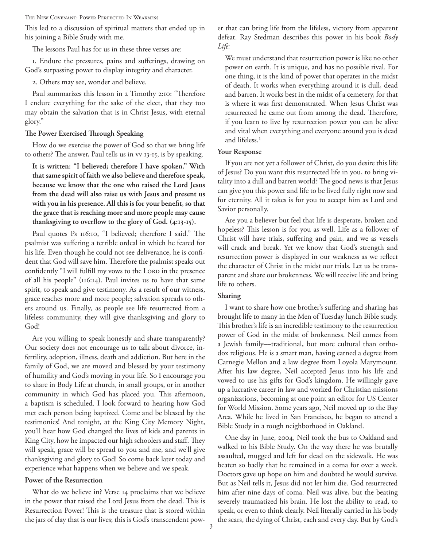The New Covenant: Power Perfected In Weakness

This led to a discussion of spiritual matters that ended up in his joining a Bible Study with me.

The lessons Paul has for us in these three verses are:

1. Endure the pressures, pains and sufferings, drawing on God's surpassing power to display integrity and character.

2. Others may see, wonder and believe.

Paul summarizes this lesson in 2 Timothy 2:10: "Therefore I endure everything for the sake of the elect, that they too may obtain the salvation that is in Christ Jesus, with eternal glory."

## **The Power Exercised Through Speaking**

How do we exercise the power of God so that we bring life to others? The answer, Paul tells us in vv 13-15, is by speaking.

**It is written: "I believed; therefore I have spoken." With that same spirit of faith we also believe and therefore speak, because we know that the one who raised the Lord Jesus from the dead will also raise us with Jesus and present us with you in his presence. All this is for your benefit, so that the grace that is reaching more and more people may cause thanksgiving to overflow to the glory of God. (4:13-15).**

Paul quotes Ps 116:10, "I believed; therefore I said." The psalmist was suffering a terrible ordeal in which he feared for his life. Even though he could not see deliverance, he is confident that God will save him. Therefore the psalmist speaks out confidently "I will fulfill my vows to the LORD in the presence of all his people" (116:14). Paul invites us to have that same spirit, to speak and give testimony. As a result of our witness, grace reaches more and more people; salvation spreads to others around us. Finally, as people see life resurrected from a lifeless community, they will give thanksgiving and glory to God!

Are you willing to speak honestly and share transparently? Our society does not encourage us to talk about divorce, infertility, adoption, illness, death and addiction. But here in the family of God, we are moved and blessed by your testimony of humility and God's moving in your life. So I encourage you to share in Body Life at church, in small groups, or in another community in which God has placed you. This afternoon, a baptism is scheduled. I look forward to hearing how God met each person being baptized. Come and be blessed by the testimonies! And tonight, at the King City Memory Night, you'll hear how God changed the lives of kids and parents in King City, how he impacted our high schoolers and staff. They will speak, grace will be spread to you and me, and we'll give thanksgiving and glory to God! So come back later today and experience what happens when we believe and we speak.

## **Power of the Resurrection**

What do we believe in? Verse 14 proclaims that we believe in the power that raised the Lord Jesus from the dead. This is Resurrection Power! This is the treasure that is stored within the jars of clay that is our lives; this is God's transcendent power that can bring life from the lifeless, victory from apparent defeat. Ray Stedman describes this power in his book *Body Life:*

We must understand that resurrection power is like no other power on earth. It is unique, and has no possible rival. For one thing, it is the kind of power that operates in the midst of death. It works when everything around it is dull, dead and barren. It works best in the midst of a cemetery, for that is where it was first demonstrated. When Jesus Christ was resurrected he came out from among the dead. Therefore, if you learn to live by resurrection power you can be alive and vital when everything and everyone around you is dead and lifeless.<sup>1</sup>

## **Your Response**

If you are not yet a follower of Christ, do you desire this life of Jesus? Do you want this resurrected life in you, to bring vitality into a dull and barren world? The good news is that Jesus can give you this power and life to be lived fully right now and for eternity. All it takes is for you to accept him as Lord and Savior personally.

Are you a believer but feel that life is desperate, broken and hopeless? This lesson is for you as well. Life as a follower of Christ will have trials, suffering and pain, and we as vessels will crack and break. Yet we know that God's strength and resurrection power is displayed in our weakness as we reflect the character of Christ in the midst our trials. Let us be transparent and share our brokenness. We will receive life and bring life to others.

## **Sharing**

I want to share how one brother's suffering and sharing has brought life to many in the Men of Tuesday lunch Bible study. This brother's life is an incredible testimony to the resurrection power of God in the midst of brokenness. Neil comes from a Jewish family––traditional, but more cultural than orthodox religious. He is a smart man, having earned a degree from Carnegie Mellon and a law degree from Loyola Marymount. After his law degree, Neil accepted Jesus into his life and vowed to use his gifts for God's kingdom. He willingly gave up a lucrative career in law and worked for Christian missions organizations, becoming at one point an editor for US Center for World Mission. Some years ago, Neil moved up to the Bay Area. While he lived in San Francisco, he began to attend a Bible Study in a rough neighborhood in Oakland.

One day in June, 2004, Neil took the bus to Oakland and walked to his Bible Study. On the way there he was brutally assaulted, mugged and left for dead on the sidewalk. He was beaten so badly that he remained in a coma for over a week. Doctors gave up hope on him and doubted he would survive. But as Neil tells it, Jesus did not let him die. God resurrected him after nine days of coma. Neil was alive, but the beating severely traumatized his brain. He lost the ability to read, to speak, or even to think clearly. Neil literally carried in his body the scars, the dying of Christ, each and every day. But by God's